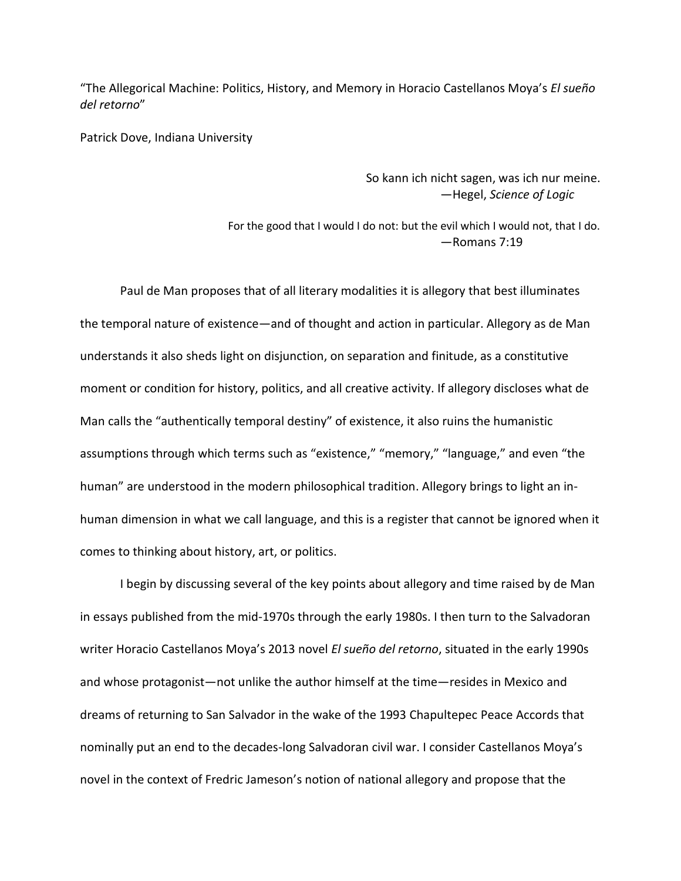"The Allegorical Machine: Politics, History, and Memory in Horacio Castellanos Moya's *El sueño del retorno*"

Patrick Dove, Indiana University

So kann ich nicht sagen, was ich nur meine. —Hegel, *Science of Logic*

 For the good that I would I do not: but the evil which I would not, that I do. —Romans 7:19

Paul de Man proposes that of all literary modalities it is allegory that best illuminates the temporal nature of existence—and of thought and action in particular. Allegory as de Man understands it also sheds light on disjunction, on separation and finitude, as a constitutive moment or condition for history, politics, and all creative activity. If allegory discloses what de Man calls the "authentically temporal destiny" of existence, it also ruins the humanistic assumptions through which terms such as "existence," "memory," "language," and even "the human" are understood in the modern philosophical tradition. Allegory brings to light an inhuman dimension in what we call language, and this is a register that cannot be ignored when it comes to thinking about history, art, or politics.

I begin by discussing several of the key points about allegory and time raised by de Man in essays published from the mid-1970s through the early 1980s. I then turn to the Salvadoran writer Horacio Castellanos Moya's 2013 novel *El sueño del retorno*, situated in the early 1990s and whose protagonist—not unlike the author himself at the time—resides in Mexico and dreams of returning to San Salvador in the wake of the 1993 Chapultepec Peace Accords that nominally put an end to the decades-long Salvadoran civil war. I consider Castellanos Moya's novel in the context of Fredric Jameson's notion of national allegory and propose that the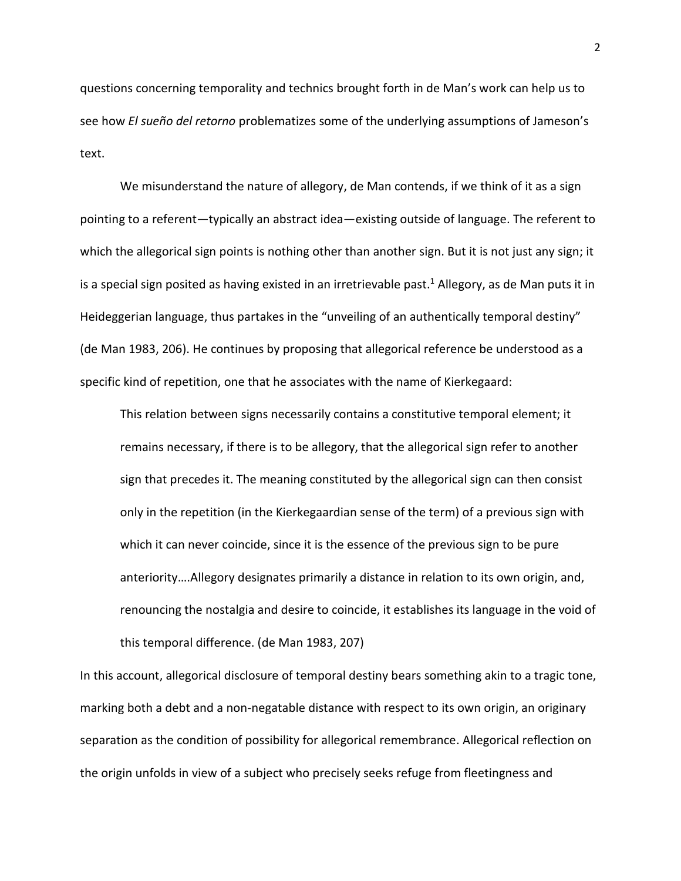questions concerning temporality and technics brought forth in de Man's work can help us to see how *El sueño del retorno* problematizes some of the underlying assumptions of Jameson's text.

We misunderstand the nature of allegory, de Man contends, if we think of it as a sign pointing to a referent—typically an abstract idea—existing outside of language. The referent to which the allegorical sign points is nothing other than another sign. But it is not just any sign; it is a special sign posited as having existed in an irretrievable past. <sup>1</sup> Allegory, as de Man puts it in Heideggerian language, thus partakes in the "unveiling of an authentically temporal destiny" (de Man 1983, 206). He continues by proposing that allegorical reference be understood as a specific kind of repetition, one that he associates with the name of Kierkegaard:

This relation between signs necessarily contains a constitutive temporal element; it remains necessary, if there is to be allegory, that the allegorical sign refer to another sign that precedes it. The meaning constituted by the allegorical sign can then consist only in the repetition (in the Kierkegaardian sense of the term) of a previous sign with which it can never coincide, since it is the essence of the previous sign to be pure anteriority….Allegory designates primarily a distance in relation to its own origin, and, renouncing the nostalgia and desire to coincide, it establishes its language in the void of this temporal difference. (de Man 1983, 207)

In this account, allegorical disclosure of temporal destiny bears something akin to a tragic tone, marking both a debt and a non-negatable distance with respect to its own origin, an originary separation as the condition of possibility for allegorical remembrance. Allegorical reflection on the origin unfolds in view of a subject who precisely seeks refuge from fleetingness and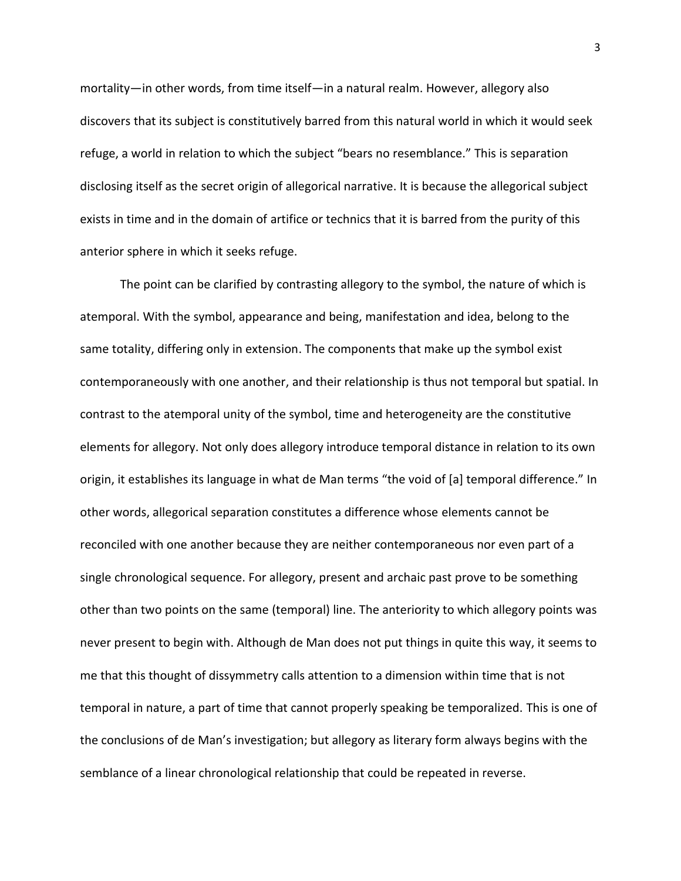mortality—in other words, from time itself—in a natural realm. However, allegory also discovers that its subject is constitutively barred from this natural world in which it would seek refuge, a world in relation to which the subject "bears no resemblance." This is separation disclosing itself as the secret origin of allegorical narrative. It is because the allegorical subject exists in time and in the domain of artifice or technics that it is barred from the purity of this anterior sphere in which it seeks refuge.

The point can be clarified by contrasting allegory to the symbol, the nature of which is atemporal. With the symbol, appearance and being, manifestation and idea, belong to the same totality, differing only in extension. The components that make up the symbol exist contemporaneously with one another, and their relationship is thus not temporal but spatial. In contrast to the atemporal unity of the symbol, time and heterogeneity are the constitutive elements for allegory. Not only does allegory introduce temporal distance in relation to its own origin, it establishes its language in what de Man terms "the void of [a] temporal difference." In other words, allegorical separation constitutes a difference whose elements cannot be reconciled with one another because they are neither contemporaneous nor even part of a single chronological sequence. For allegory, present and archaic past prove to be something other than two points on the same (temporal) line. The anteriority to which allegory points was never present to begin with. Although de Man does not put things in quite this way, it seems to me that this thought of dissymmetry calls attention to a dimension within time that is not temporal in nature, a part of time that cannot properly speaking be temporalized. This is one of the conclusions of de Man's investigation; but allegory as literary form always begins with the semblance of a linear chronological relationship that could be repeated in reverse.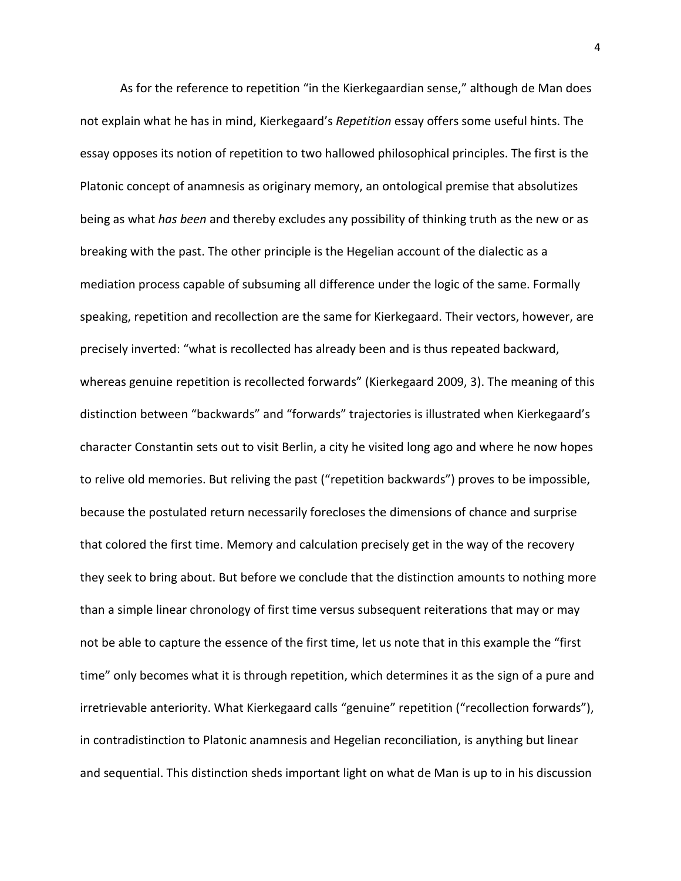As for the reference to repetition "in the Kierkegaardian sense," although de Man does not explain what he has in mind, Kierkegaard's *Repetition* essay offers some useful hints. The essay opposes its notion of repetition to two hallowed philosophical principles. The first is the Platonic concept of anamnesis as originary memory, an ontological premise that absolutizes being as what *has been* and thereby excludes any possibility of thinking truth as the new or as breaking with the past. The other principle is the Hegelian account of the dialectic as a mediation process capable of subsuming all difference under the logic of the same. Formally speaking, repetition and recollection are the same for Kierkegaard. Their vectors, however, are precisely inverted: "what is recollected has already been and is thus repeated backward, whereas genuine repetition is recollected forwards" (Kierkegaard 2009, 3). The meaning of this distinction between "backwards" and "forwards" trajectories is illustrated when Kierkegaard's character Constantin sets out to visit Berlin, a city he visited long ago and where he now hopes to relive old memories. But reliving the past ("repetition backwards") proves to be impossible, because the postulated return necessarily forecloses the dimensions of chance and surprise that colored the first time. Memory and calculation precisely get in the way of the recovery they seek to bring about. But before we conclude that the distinction amounts to nothing more than a simple linear chronology of first time versus subsequent reiterations that may or may not be able to capture the essence of the first time, let us note that in this example the "first time" only becomes what it is through repetition, which determines it as the sign of a pure and irretrievable anteriority. What Kierkegaard calls "genuine" repetition ("recollection forwards"), in contradistinction to Platonic anamnesis and Hegelian reconciliation, is anything but linear and sequential. This distinction sheds important light on what de Man is up to in his discussion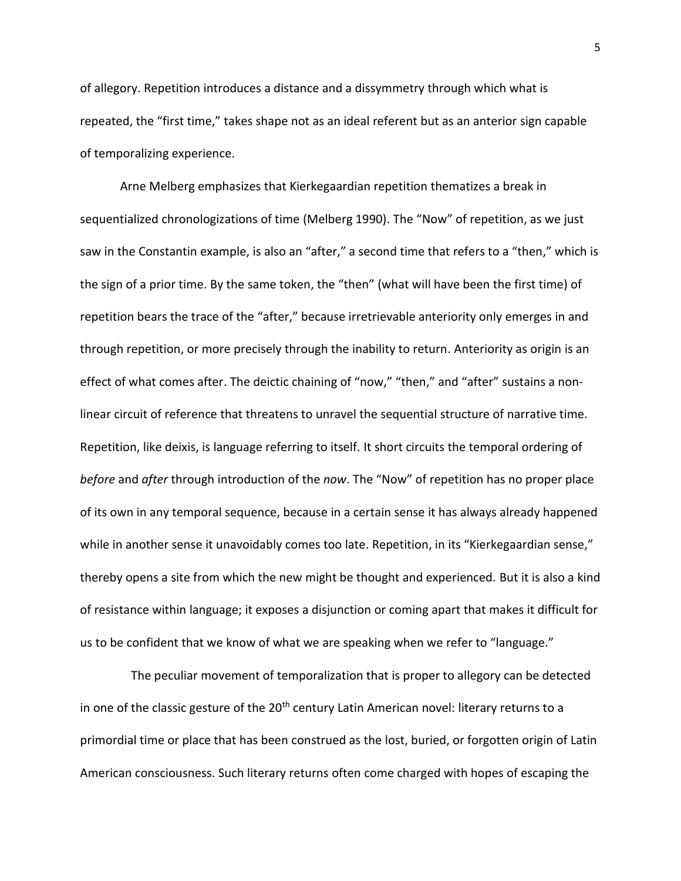of allegory. Repetition introduces a distance and a dissymmetry through which what is repeated, the "first time," takes shape not as an ideal referent but as an anterior sign capable of temporalizing experience.

Arne Melberg emphasizes that Kierkegaardian repetition thematizes a break in sequentialized chronologizations of time (Melberg 1990). The "Now" of repetition, as we just saw in the Constantin example, is also an "after," a second time that refers to a "then," which is the sign of a prior time. By the same token, the "then" (what will have been the first time) of repetition bears the trace of the "after," because irretrievable anteriority only emerges in and through repetition, or more precisely through the inability to return. Anteriority as origin is an effect of what comes after. The deictic chaining of "now," "then," and "after" sustains a nonlinear circuit of reference that threatens to unravel the sequential structure of narrative time. Repetition, like deixis, is language referring to itself. It short circuits the temporal ordering of *before* and *after* through introduction of the *now*. The "Now" of repetition has no proper place of its own in any temporal sequence, because in a certain sense it has always already happened while in another sense it unavoidably comes too late. Repetition, in its "Kierkegaardian sense," thereby opens a site from which the new might be thought and experienced. But it is also a kind of resistance within language; it exposes a disjunction or coming apart that makes it difficult for us to be confident that we know of what we are speaking when we refer to "language."

The peculiar movement of temporalization that is proper to allegory can be detected in one of the classic gesture of the 20<sup>th</sup> century Latin American novel: literary returns to a primordial time or place that has been construed as the lost, buried, or forgotten origin of Latin American consciousness. Such literary returns often come charged with hopes of escaping the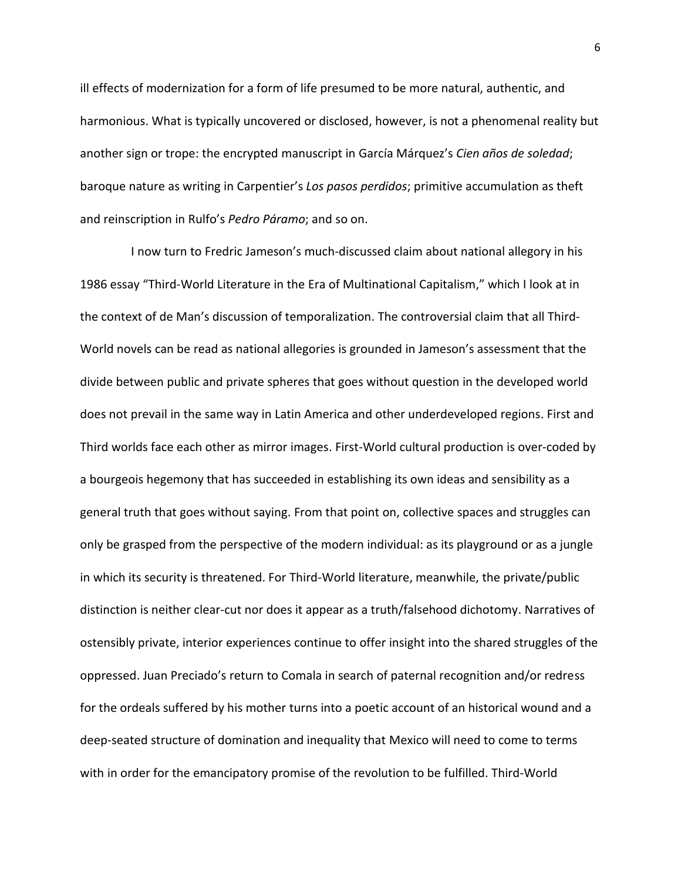ill effects of modernization for a form of life presumed to be more natural, authentic, and harmonious. What is typically uncovered or disclosed, however, is not a phenomenal reality but another sign or trope: the encrypted manuscript in García Márquez's *Cien años de soledad*; baroque nature as writing in Carpentier's *Los pasos perdidos*; primitive accumulation as theft and reinscription in Rulfo's *Pedro Páramo*; and so on.

I now turn to Fredric Jameson's much-discussed claim about national allegory in his 1986 essay "Third-World Literature in the Era of Multinational Capitalism," which I look at in the context of de Man's discussion of temporalization. The controversial claim that all Third-World novels can be read as national allegories is grounded in Jameson's assessment that the divide between public and private spheres that goes without question in the developed world does not prevail in the same way in Latin America and other underdeveloped regions. First and Third worlds face each other as mirror images. First-World cultural production is over-coded by a bourgeois hegemony that has succeeded in establishing its own ideas and sensibility as a general truth that goes without saying. From that point on, collective spaces and struggles can only be grasped from the perspective of the modern individual: as its playground or as a jungle in which its security is threatened. For Third-World literature, meanwhile, the private/public distinction is neither clear-cut nor does it appear as a truth/falsehood dichotomy. Narratives of ostensibly private, interior experiences continue to offer insight into the shared struggles of the oppressed. Juan Preciado's return to Comala in search of paternal recognition and/or redress for the ordeals suffered by his mother turns into a poetic account of an historical wound and a deep-seated structure of domination and inequality that Mexico will need to come to terms with in order for the emancipatory promise of the revolution to be fulfilled. Third-World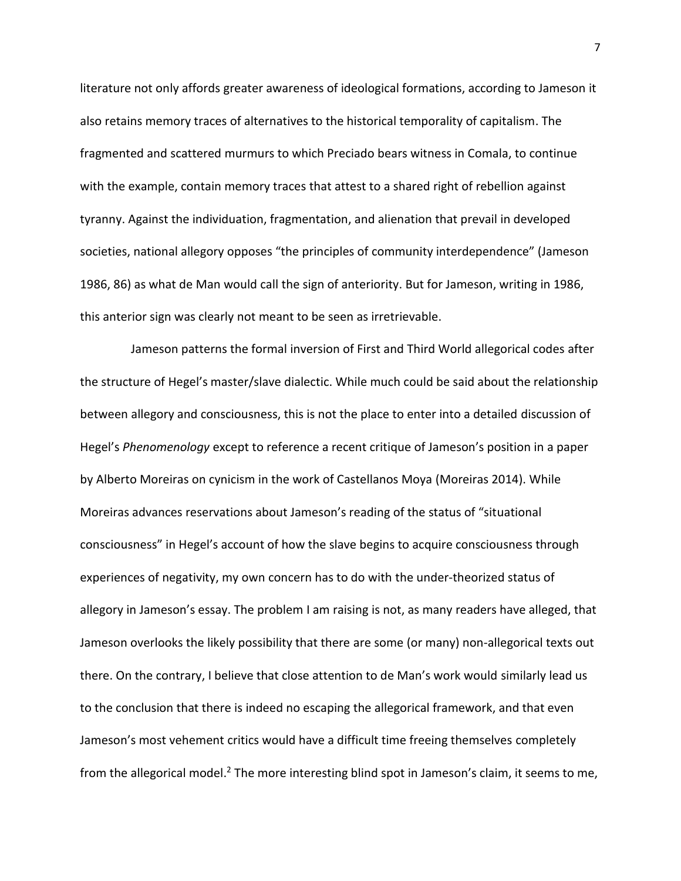literature not only affords greater awareness of ideological formations, according to Jameson it also retains memory traces of alternatives to the historical temporality of capitalism. The fragmented and scattered murmurs to which Preciado bears witness in Comala, to continue with the example, contain memory traces that attest to a shared right of rebellion against tyranny. Against the individuation, fragmentation, and alienation that prevail in developed societies, national allegory opposes "the principles of community interdependence" (Jameson 1986, 86) as what de Man would call the sign of anteriority. But for Jameson, writing in 1986, this anterior sign was clearly not meant to be seen as irretrievable.

Jameson patterns the formal inversion of First and Third World allegorical codes after the structure of Hegel's master/slave dialectic. While much could be said about the relationship between allegory and consciousness, this is not the place to enter into a detailed discussion of Hegel's *Phenomenology* except to reference a recent critique of Jameson's position in a paper by Alberto Moreiras on cynicism in the work of Castellanos Moya (Moreiras 2014). While Moreiras advances reservations about Jameson's reading of the status of "situational consciousness" in Hegel's account of how the slave begins to acquire consciousness through experiences of negativity, my own concern has to do with the under-theorized status of allegory in Jameson's essay. The problem I am raising is not, as many readers have alleged, that Jameson overlooks the likely possibility that there are some (or many) non-allegorical texts out there. On the contrary, I believe that close attention to de Man's work would similarly lead us to the conclusion that there is indeed no escaping the allegorical framework, and that even Jameson's most vehement critics would have a difficult time freeing themselves completely from the allegorical model.<sup>2</sup> The more interesting blind spot in Jameson's claim, it seems to me,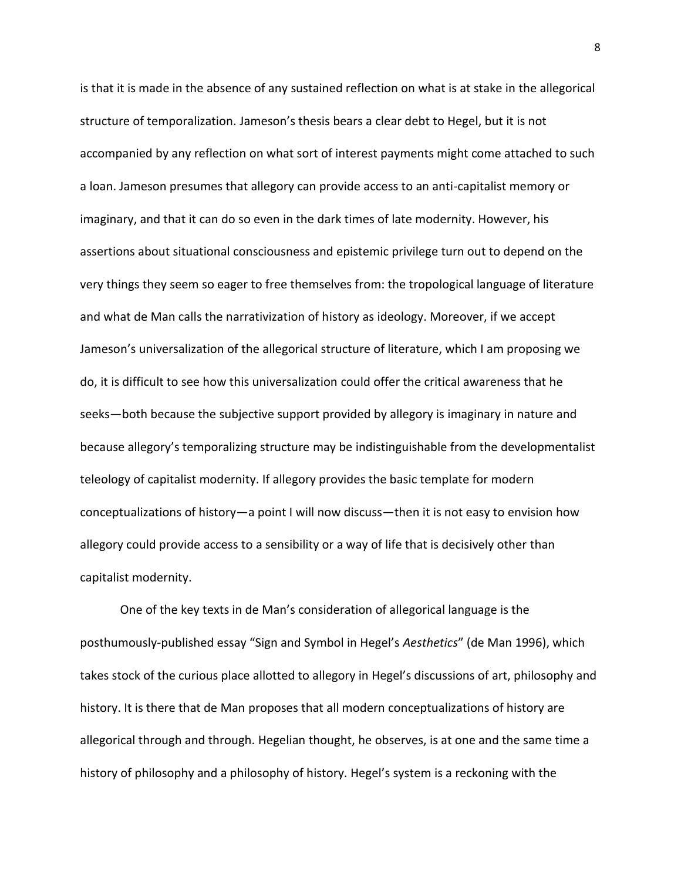is that it is made in the absence of any sustained reflection on what is at stake in the allegorical structure of temporalization. Jameson's thesis bears a clear debt to Hegel, but it is not accompanied by any reflection on what sort of interest payments might come attached to such a loan. Jameson presumes that allegory can provide access to an anti-capitalist memory or imaginary, and that it can do so even in the dark times of late modernity. However, his assertions about situational consciousness and epistemic privilege turn out to depend on the very things they seem so eager to free themselves from: the tropological language of literature and what de Man calls the narrativization of history as ideology. Moreover, if we accept Jameson's universalization of the allegorical structure of literature, which I am proposing we do, it is difficult to see how this universalization could offer the critical awareness that he seeks—both because the subjective support provided by allegory is imaginary in nature and because allegory's temporalizing structure may be indistinguishable from the developmentalist teleology of capitalist modernity. If allegory provides the basic template for modern conceptualizations of history—a point I will now discuss—then it is not easy to envision how allegory could provide access to a sensibility or a way of life that is decisively other than capitalist modernity.

One of the key texts in de Man's consideration of allegorical language is the posthumously-published essay "Sign and Symbol in Hegel's *Aesthetics*" (de Man 1996), which takes stock of the curious place allotted to allegory in Hegel's discussions of art, philosophy and history. It is there that de Man proposes that all modern conceptualizations of history are allegorical through and through. Hegelian thought, he observes, is at one and the same time a history of philosophy and a philosophy of history. Hegel's system is a reckoning with the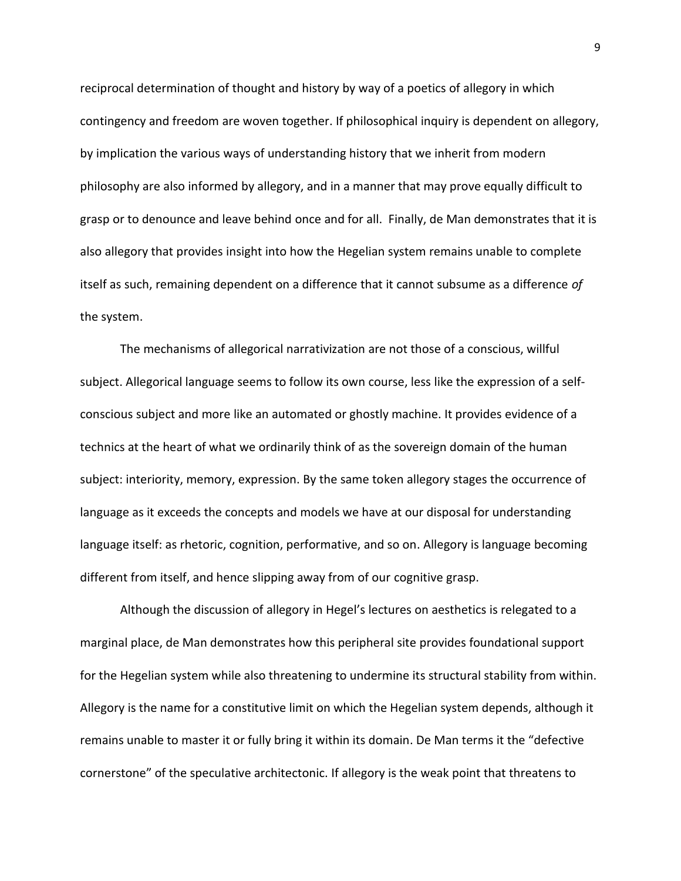reciprocal determination of thought and history by way of a poetics of allegory in which contingency and freedom are woven together. If philosophical inquiry is dependent on allegory, by implication the various ways of understanding history that we inherit from modern philosophy are also informed by allegory, and in a manner that may prove equally difficult to grasp or to denounce and leave behind once and for all. Finally, de Man demonstrates that it is also allegory that provides insight into how the Hegelian system remains unable to complete itself as such, remaining dependent on a difference that it cannot subsume as a difference *of* the system.

The mechanisms of allegorical narrativization are not those of a conscious, willful subject. Allegorical language seems to follow its own course, less like the expression of a selfconscious subject and more like an automated or ghostly machine. It provides evidence of a technics at the heart of what we ordinarily think of as the sovereign domain of the human subject: interiority, memory, expression. By the same token allegory stages the occurrence of language as it exceeds the concepts and models we have at our disposal for understanding language itself: as rhetoric, cognition, performative, and so on. Allegory is language becoming different from itself, and hence slipping away from of our cognitive grasp.

Although the discussion of allegory in Hegel's lectures on aesthetics is relegated to a marginal place, de Man demonstrates how this peripheral site provides foundational support for the Hegelian system while also threatening to undermine its structural stability from within. Allegory is the name for a constitutive limit on which the Hegelian system depends, although it remains unable to master it or fully bring it within its domain. De Man terms it the "defective cornerstone" of the speculative architectonic. If allegory is the weak point that threatens to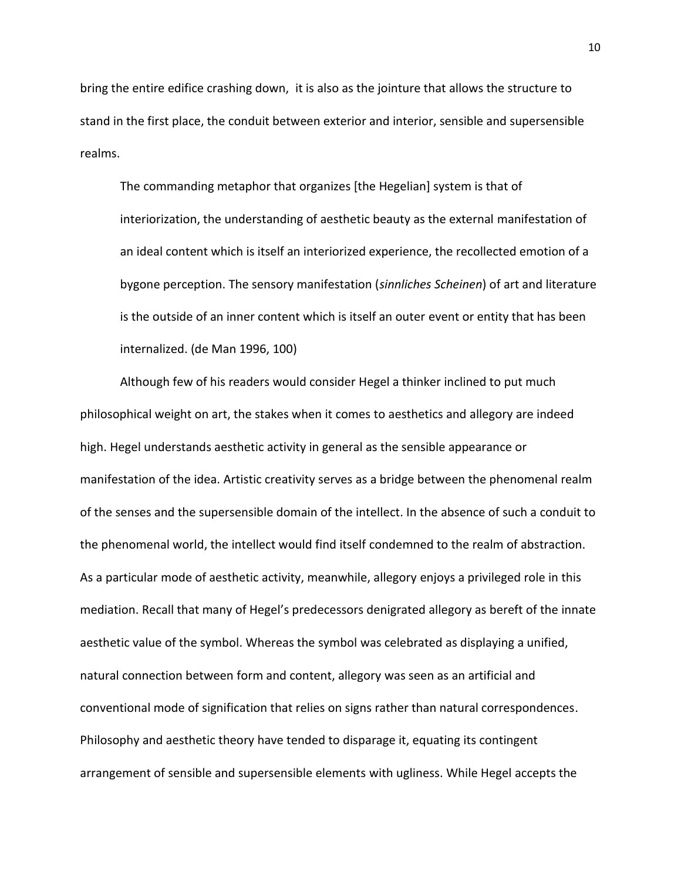bring the entire edifice crashing down, it is also as the jointure that allows the structure to stand in the first place, the conduit between exterior and interior, sensible and supersensible realms.

The commanding metaphor that organizes [the Hegelian] system is that of interiorization, the understanding of aesthetic beauty as the external manifestation of an ideal content which is itself an interiorized experience, the recollected emotion of a bygone perception. The sensory manifestation (*sinnliches Scheinen*) of art and literature is the outside of an inner content which is itself an outer event or entity that has been internalized. (de Man 1996, 100)

Although few of his readers would consider Hegel a thinker inclined to put much philosophical weight on art, the stakes when it comes to aesthetics and allegory are indeed high. Hegel understands aesthetic activity in general as the sensible appearance or manifestation of the idea. Artistic creativity serves as a bridge between the phenomenal realm of the senses and the supersensible domain of the intellect. In the absence of such a conduit to the phenomenal world, the intellect would find itself condemned to the realm of abstraction. As a particular mode of aesthetic activity, meanwhile, allegory enjoys a privileged role in this mediation. Recall that many of Hegel's predecessors denigrated allegory as bereft of the innate aesthetic value of the symbol. Whereas the symbol was celebrated as displaying a unified, natural connection between form and content, allegory was seen as an artificial and conventional mode of signification that relies on signs rather than natural correspondences. Philosophy and aesthetic theory have tended to disparage it, equating its contingent arrangement of sensible and supersensible elements with ugliness. While Hegel accepts the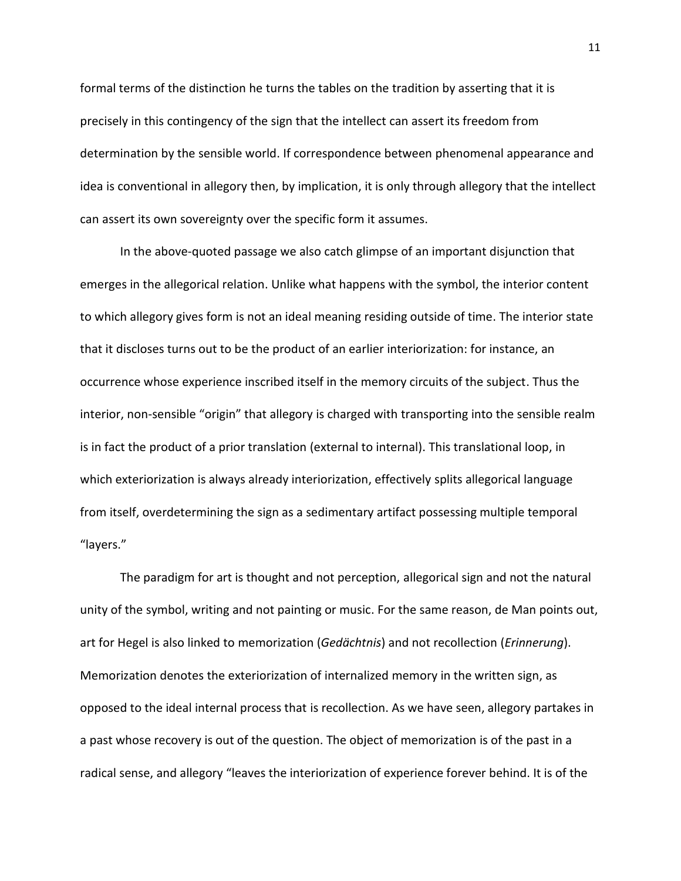formal terms of the distinction he turns the tables on the tradition by asserting that it is precisely in this contingency of the sign that the intellect can assert its freedom from determination by the sensible world. If correspondence between phenomenal appearance and idea is conventional in allegory then, by implication, it is only through allegory that the intellect can assert its own sovereignty over the specific form it assumes.

In the above-quoted passage we also catch glimpse of an important disjunction that emerges in the allegorical relation. Unlike what happens with the symbol, the interior content to which allegory gives form is not an ideal meaning residing outside of time. The interior state that it discloses turns out to be the product of an earlier interiorization: for instance, an occurrence whose experience inscribed itself in the memory circuits of the subject. Thus the interior, non-sensible "origin" that allegory is charged with transporting into the sensible realm is in fact the product of a prior translation (external to internal). This translational loop, in which exteriorization is always already interiorization, effectively splits allegorical language from itself, overdetermining the sign as a sedimentary artifact possessing multiple temporal "layers."

The paradigm for art is thought and not perception, allegorical sign and not the natural unity of the symbol, writing and not painting or music. For the same reason, de Man points out, art for Hegel is also linked to memorization (*Gedächtnis*) and not recollection (*Erinnerung*). Memorization denotes the exteriorization of internalized memory in the written sign, as opposed to the ideal internal process that is recollection. As we have seen, allegory partakes in a past whose recovery is out of the question. The object of memorization is of the past in a radical sense, and allegory "leaves the interiorization of experience forever behind. It is of the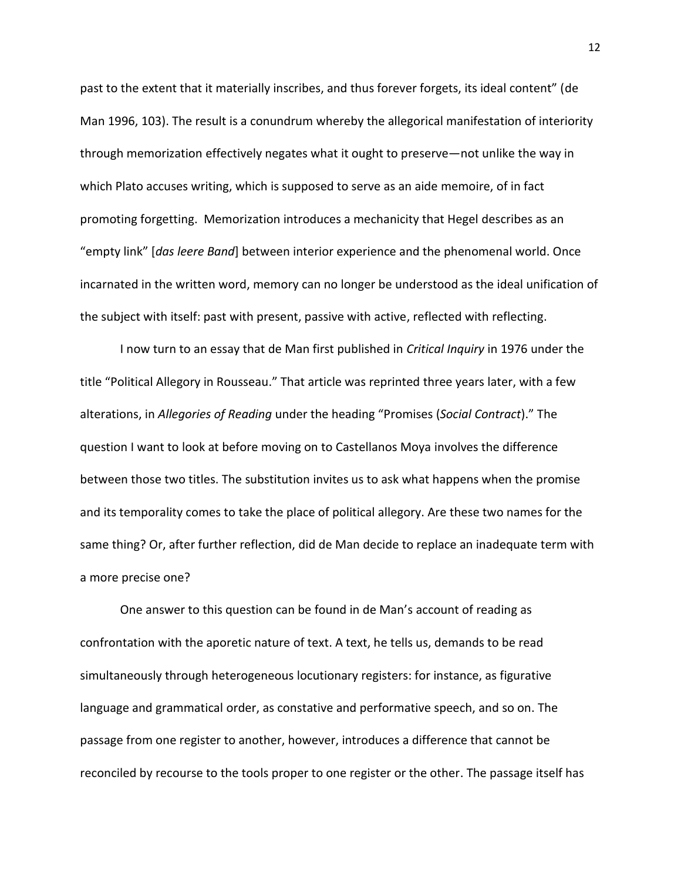past to the extent that it materially inscribes, and thus forever forgets, its ideal content" (de Man 1996, 103). The result is a conundrum whereby the allegorical manifestation of interiority through memorization effectively negates what it ought to preserve—not unlike the way in which Plato accuses writing, which is supposed to serve as an aide memoire, of in fact promoting forgetting. Memorization introduces a mechanicity that Hegel describes as an "empty link" [*das leere Band*] between interior experience and the phenomenal world. Once incarnated in the written word, memory can no longer be understood as the ideal unification of the subject with itself: past with present, passive with active, reflected with reflecting.

I now turn to an essay that de Man first published in *Critical Inquiry* in 1976 under the title "Political Allegory in Rousseau." That article was reprinted three years later, with a few alterations, in *Allegories of Reading* under the heading "Promises (*Social Contract*)." The question I want to look at before moving on to Castellanos Moya involves the difference between those two titles. The substitution invites us to ask what happens when the promise and its temporality comes to take the place of political allegory. Are these two names for the same thing? Or, after further reflection, did de Man decide to replace an inadequate term with a more precise one?

One answer to this question can be found in de Man's account of reading as confrontation with the aporetic nature of text. A text, he tells us, demands to be read simultaneously through heterogeneous locutionary registers: for instance, as figurative language and grammatical order, as constative and performative speech, and so on. The passage from one register to another, however, introduces a difference that cannot be reconciled by recourse to the tools proper to one register or the other. The passage itself has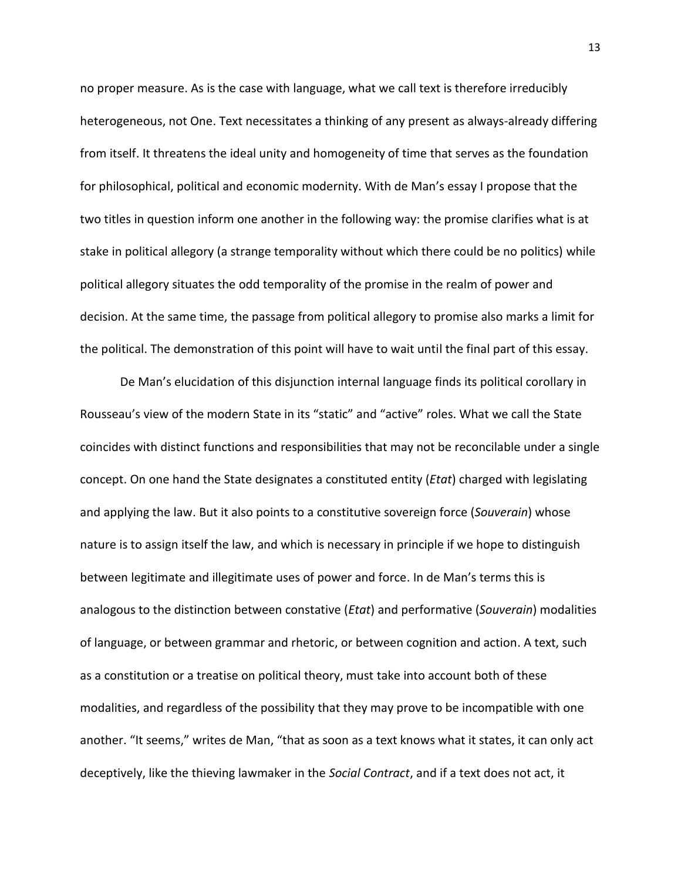no proper measure. As is the case with language, what we call text is therefore irreducibly heterogeneous, not One. Text necessitates a thinking of any present as always-already differing from itself. It threatens the ideal unity and homogeneity of time that serves as the foundation for philosophical, political and economic modernity. With de Man's essay I propose that the two titles in question inform one another in the following way: the promise clarifies what is at stake in political allegory (a strange temporality without which there could be no politics) while political allegory situates the odd temporality of the promise in the realm of power and decision. At the same time, the passage from political allegory to promise also marks a limit for the political. The demonstration of this point will have to wait until the final part of this essay.

De Man's elucidation of this disjunction internal language finds its political corollary in Rousseau's view of the modern State in its "static" and "active" roles. What we call the State coincides with distinct functions and responsibilities that may not be reconcilable under a single concept. On one hand the State designates a constituted entity (*Etat*) charged with legislating and applying the law. But it also points to a constitutive sovereign force (*Souverain*) whose nature is to assign itself the law, and which is necessary in principle if we hope to distinguish between legitimate and illegitimate uses of power and force. In de Man's terms this is analogous to the distinction between constative (*Etat*) and performative (*Souverain*) modalities of language, or between grammar and rhetoric, or between cognition and action. A text, such as a constitution or a treatise on political theory, must take into account both of these modalities, and regardless of the possibility that they may prove to be incompatible with one another. "It seems," writes de Man, "that as soon as a text knows what it states, it can only act deceptively, like the thieving lawmaker in the *Social Contract*, and if a text does not act, it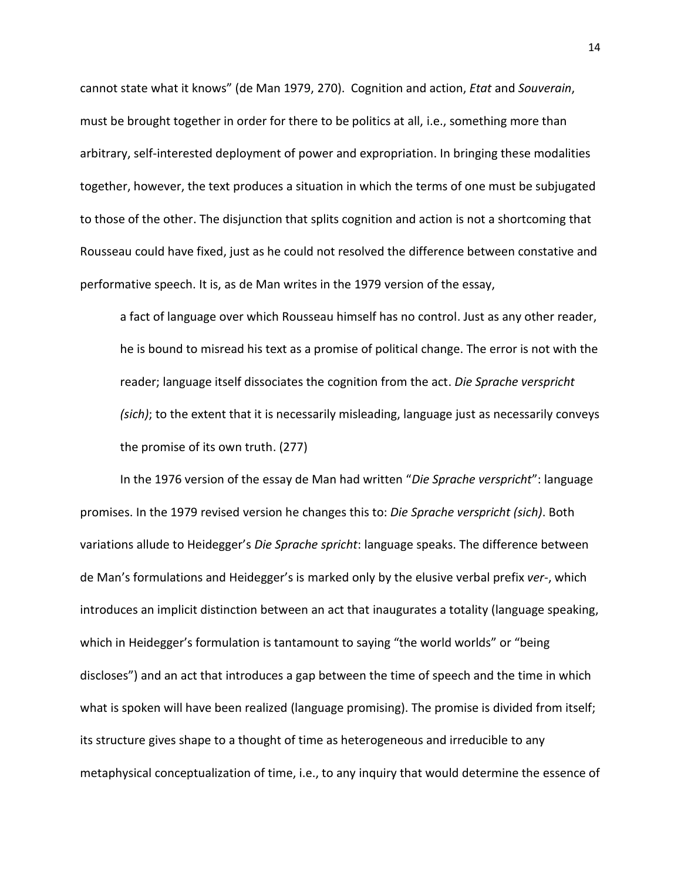cannot state what it knows" (de Man 1979, 270). Cognition and action, *Etat* and *Souverain*, must be brought together in order for there to be politics at all, i.e., something more than arbitrary, self-interested deployment of power and expropriation. In bringing these modalities together, however, the text produces a situation in which the terms of one must be subjugated to those of the other. The disjunction that splits cognition and action is not a shortcoming that Rousseau could have fixed, just as he could not resolved the difference between constative and performative speech. It is, as de Man writes in the 1979 version of the essay,

a fact of language over which Rousseau himself has no control. Just as any other reader, he is bound to misread his text as a promise of political change. The error is not with the reader; language itself dissociates the cognition from the act. *Die Sprache verspricht (sich)*; to the extent that it is necessarily misleading, language just as necessarily conveys the promise of its own truth. (277)

In the 1976 version of the essay de Man had written "*Die Sprache verspricht*": language promises. In the 1979 revised version he changes this to: *Die Sprache verspricht (sich)*. Both variations allude to Heidegger's *Die Sprache spricht*: language speaks. The difference between de Man's formulations and Heidegger's is marked only by the elusive verbal prefix *ver*-, which introduces an implicit distinction between an act that inaugurates a totality (language speaking, which in Heidegger's formulation is tantamount to saying "the world worlds" or "being discloses") and an act that introduces a gap between the time of speech and the time in which what is spoken will have been realized (language promising). The promise is divided from itself; its structure gives shape to a thought of time as heterogeneous and irreducible to any metaphysical conceptualization of time, i.e., to any inquiry that would determine the essence of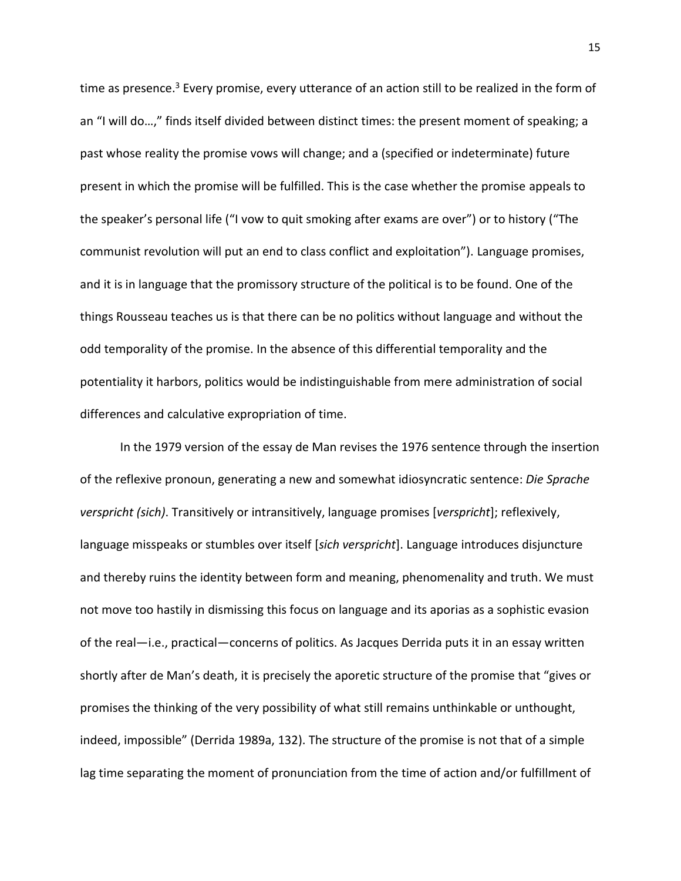time as presence.<sup>3</sup> Every promise, every utterance of an action still to be realized in the form of an "I will do…," finds itself divided between distinct times: the present moment of speaking; a past whose reality the promise vows will change; and a (specified or indeterminate) future present in which the promise will be fulfilled. This is the case whether the promise appeals to the speaker's personal life ("I vow to quit smoking after exams are over") or to history ("The communist revolution will put an end to class conflict and exploitation"). Language promises, and it is in language that the promissory structure of the political is to be found. One of the things Rousseau teaches us is that there can be no politics without language and without the odd temporality of the promise. In the absence of this differential temporality and the potentiality it harbors, politics would be indistinguishable from mere administration of social differences and calculative expropriation of time.

In the 1979 version of the essay de Man revises the 1976 sentence through the insertion of the reflexive pronoun, generating a new and somewhat idiosyncratic sentence: *Die Sprache verspricht (sich)*. Transitively or intransitively, language promises [*verspricht*]; reflexively, language misspeaks or stumbles over itself [*sich verspricht*]. Language introduces disjuncture and thereby ruins the identity between form and meaning, phenomenality and truth. We must not move too hastily in dismissing this focus on language and its aporias as a sophistic evasion of the real—i.e., practical—concerns of politics. As Jacques Derrida puts it in an essay written shortly after de Man's death, it is precisely the aporetic structure of the promise that "gives or promises the thinking of the very possibility of what still remains unthinkable or unthought, indeed, impossible" (Derrida 1989a, 132). The structure of the promise is not that of a simple lag time separating the moment of pronunciation from the time of action and/or fulfillment of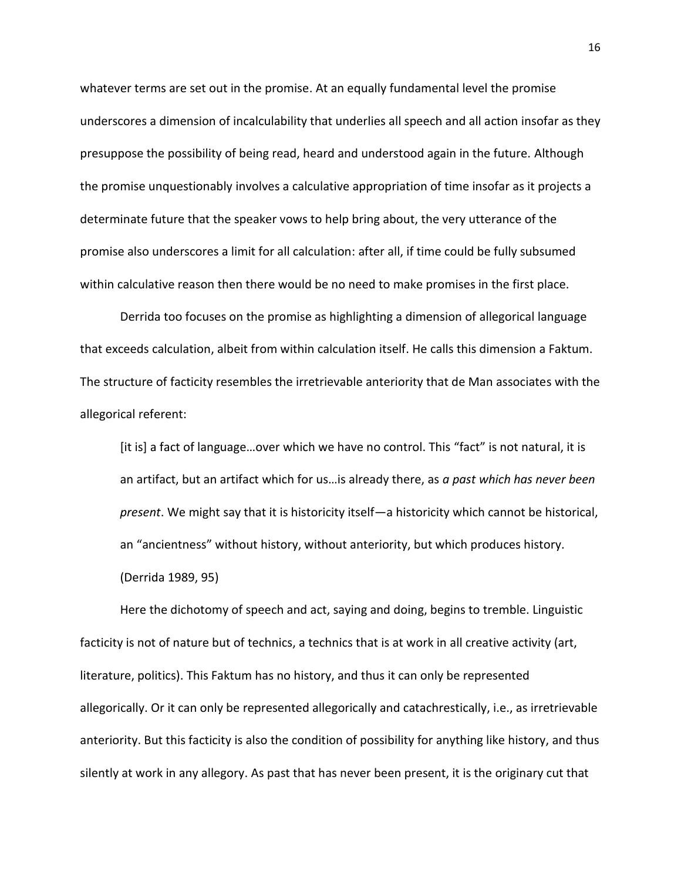whatever terms are set out in the promise. At an equally fundamental level the promise underscores a dimension of incalculability that underlies all speech and all action insofar as they presuppose the possibility of being read, heard and understood again in the future. Although the promise unquestionably involves a calculative appropriation of time insofar as it projects a determinate future that the speaker vows to help bring about, the very utterance of the promise also underscores a limit for all calculation: after all, if time could be fully subsumed within calculative reason then there would be no need to make promises in the first place.

Derrida too focuses on the promise as highlighting a dimension of allegorical language that exceeds calculation, albeit from within calculation itself. He calls this dimension a Faktum. The structure of facticity resembles the irretrievable anteriority that de Man associates with the allegorical referent:

[it is] a fact of language…over which we have no control. This "fact" is not natural, it is an artifact, but an artifact which for us…is already there, as *a past which has never been present*. We might say that it is historicity itself—a historicity which cannot be historical, an "ancientness" without history, without anteriority, but which produces history. (Derrida 1989, 95)

Here the dichotomy of speech and act, saying and doing, begins to tremble. Linguistic facticity is not of nature but of technics, a technics that is at work in all creative activity (art, literature, politics). This Faktum has no history, and thus it can only be represented allegorically. Or it can only be represented allegorically and catachrestically, i.e., as irretrievable anteriority. But this facticity is also the condition of possibility for anything like history, and thus silently at work in any allegory. As past that has never been present, it is the originary cut that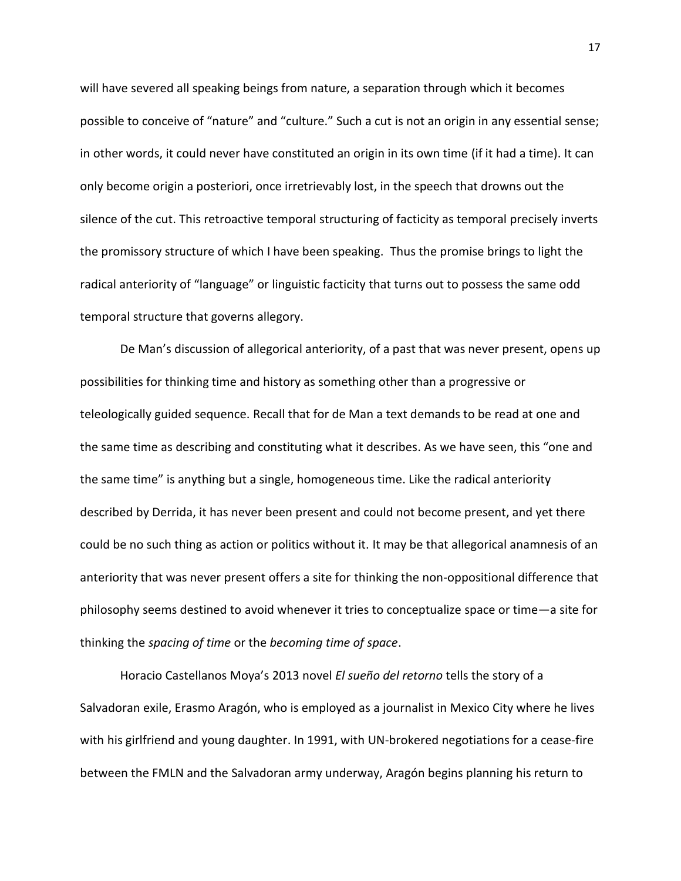will have severed all speaking beings from nature, a separation through which it becomes possible to conceive of "nature" and "culture." Such a cut is not an origin in any essential sense; in other words, it could never have constituted an origin in its own time (if it had a time). It can only become origin a posteriori, once irretrievably lost, in the speech that drowns out the silence of the cut. This retroactive temporal structuring of facticity as temporal precisely inverts the promissory structure of which I have been speaking. Thus the promise brings to light the radical anteriority of "language" or linguistic facticity that turns out to possess the same odd temporal structure that governs allegory.

De Man's discussion of allegorical anteriority, of a past that was never present, opens up possibilities for thinking time and history as something other than a progressive or teleologically guided sequence. Recall that for de Man a text demands to be read at one and the same time as describing and constituting what it describes. As we have seen, this "one and the same time" is anything but a single, homogeneous time. Like the radical anteriority described by Derrida, it has never been present and could not become present, and yet there could be no such thing as action or politics without it. It may be that allegorical anamnesis of an anteriority that was never present offers a site for thinking the non-oppositional difference that philosophy seems destined to avoid whenever it tries to conceptualize space or time—a site for thinking the *spacing of time* or the *becoming time of space*.

Horacio Castellanos Moya's 2013 novel *El sueño del retorno* tells the story of a Salvadoran exile, Erasmo Aragón, who is employed as a journalist in Mexico City where he lives with his girlfriend and young daughter. In 1991, with UN-brokered negotiations for a cease-fire between the FMLN and the Salvadoran army underway, Aragón begins planning his return to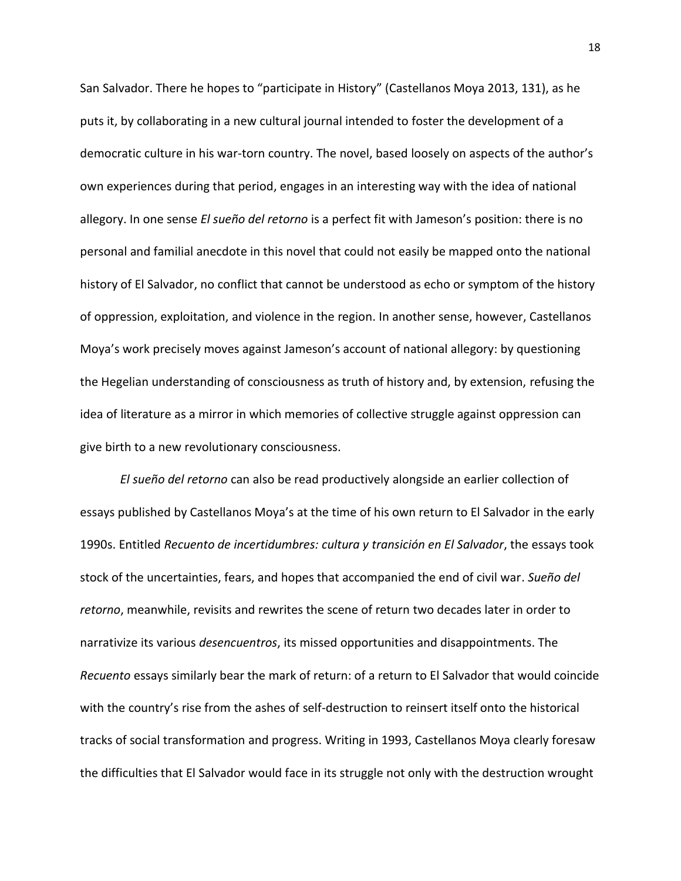San Salvador. There he hopes to "participate in History" (Castellanos Moya 2013, 131), as he puts it, by collaborating in a new cultural journal intended to foster the development of a democratic culture in his war-torn country. The novel, based loosely on aspects of the author's own experiences during that period, engages in an interesting way with the idea of national allegory. In one sense *El sueño del retorno* is a perfect fit with Jameson's position: there is no personal and familial anecdote in this novel that could not easily be mapped onto the national history of El Salvador, no conflict that cannot be understood as echo or symptom of the history of oppression, exploitation, and violence in the region. In another sense, however, Castellanos Moya's work precisely moves against Jameson's account of national allegory: by questioning the Hegelian understanding of consciousness as truth of history and, by extension, refusing the idea of literature as a mirror in which memories of collective struggle against oppression can give birth to a new revolutionary consciousness.

*El sueño del retorno* can also be read productively alongside an earlier collection of essays published by Castellanos Moya's at the time of his own return to El Salvador in the early 1990s. Entitled *Recuento de incertidumbres: cultura y transición en El Salvador*, the essays took stock of the uncertainties, fears, and hopes that accompanied the end of civil war. *Sueño del retorno*, meanwhile, revisits and rewrites the scene of return two decades later in order to narrativize its various *desencuentros*, its missed opportunities and disappointments. The *Recuento* essays similarly bear the mark of return: of a return to El Salvador that would coincide with the country's rise from the ashes of self-destruction to reinsert itself onto the historical tracks of social transformation and progress. Writing in 1993, Castellanos Moya clearly foresaw the difficulties that El Salvador would face in its struggle not only with the destruction wrought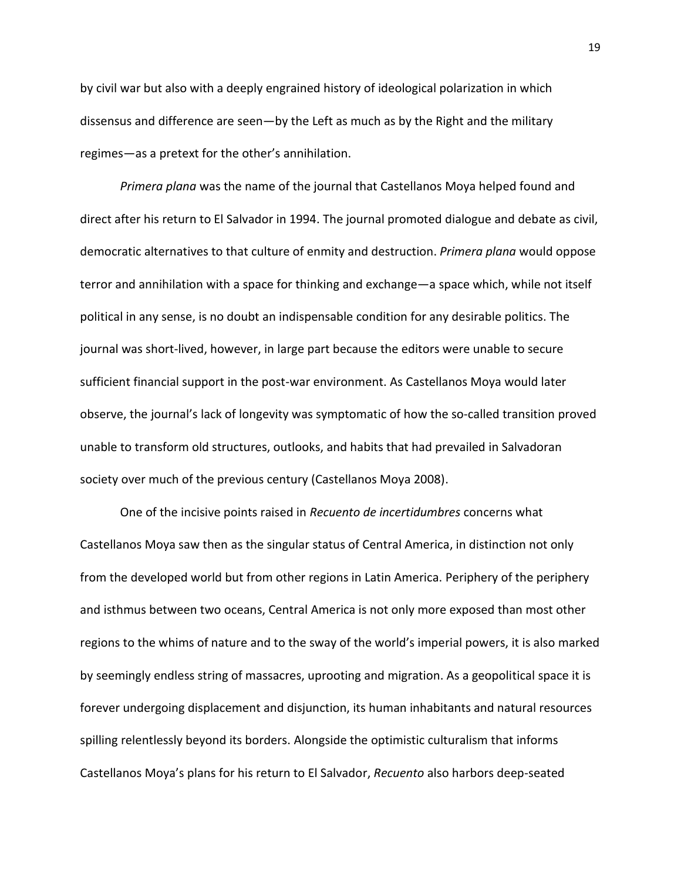by civil war but also with a deeply engrained history of ideological polarization in which dissensus and difference are seen—by the Left as much as by the Right and the military regimes—as a pretext for the other's annihilation.

*Primera plana* was the name of the journal that Castellanos Moya helped found and direct after his return to El Salvador in 1994. The journal promoted dialogue and debate as civil, democratic alternatives to that culture of enmity and destruction. *Primera plana* would oppose terror and annihilation with a space for thinking and exchange—a space which, while not itself political in any sense, is no doubt an indispensable condition for any desirable politics. The journal was short-lived, however, in large part because the editors were unable to secure sufficient financial support in the post-war environment. As Castellanos Moya would later observe, the journal's lack of longevity was symptomatic of how the so-called transition proved unable to transform old structures, outlooks, and habits that had prevailed in Salvadoran society over much of the previous century (Castellanos Moya 2008).

One of the incisive points raised in *Recuento de incertidumbres* concerns what Castellanos Moya saw then as the singular status of Central America, in distinction not only from the developed world but from other regions in Latin America. Periphery of the periphery and isthmus between two oceans, Central America is not only more exposed than most other regions to the whims of nature and to the sway of the world's imperial powers, it is also marked by seemingly endless string of massacres, uprooting and migration. As a geopolitical space it is forever undergoing displacement and disjunction, its human inhabitants and natural resources spilling relentlessly beyond its borders. Alongside the optimistic culturalism that informs Castellanos Moya's plans for his return to El Salvador, *Recuento* also harbors deep-seated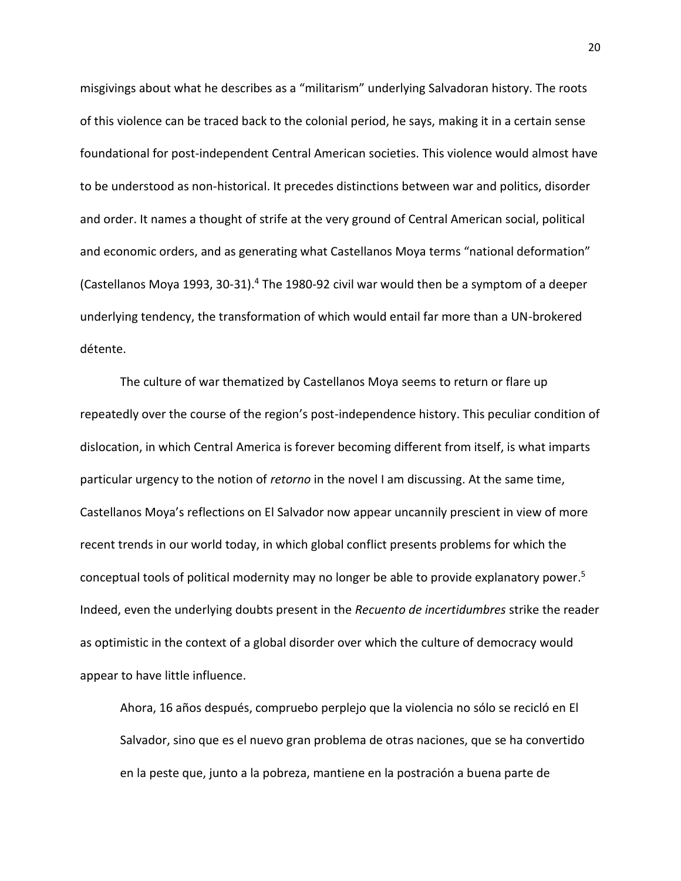misgivings about what he describes as a "militarism" underlying Salvadoran history. The roots of this violence can be traced back to the colonial period, he says, making it in a certain sense foundational for post-independent Central American societies. This violence would almost have to be understood as non-historical. It precedes distinctions between war and politics, disorder and order. It names a thought of strife at the very ground of Central American social, political and economic orders, and as generating what Castellanos Moya terms "national deformation" (Castellanos Moya 1993, 30-31).<sup>4</sup> The 1980-92 civil war would then be a symptom of a deeper underlying tendency, the transformation of which would entail far more than a UN-brokered détente.

The culture of war thematized by Castellanos Moya seems to return or flare up repeatedly over the course of the region's post-independence history. This peculiar condition of dislocation, in which Central America is forever becoming different from itself, is what imparts particular urgency to the notion of *retorno* in the novel I am discussing. At the same time, Castellanos Moya's reflections on El Salvador now appear uncannily prescient in view of more recent trends in our world today, in which global conflict presents problems for which the conceptual tools of political modernity may no longer be able to provide explanatory power. 5 Indeed, even the underlying doubts present in the *Recuento de incertidumbres* strike the reader as optimistic in the context of a global disorder over which the culture of democracy would appear to have little influence.

Ahora, 16 años después, compruebo perplejo que la violencia no sólo se recicló en El Salvador, sino que es el nuevo gran problema de otras naciones, que se ha convertido en la peste que, junto a la pobreza, mantiene en la postración a buena parte de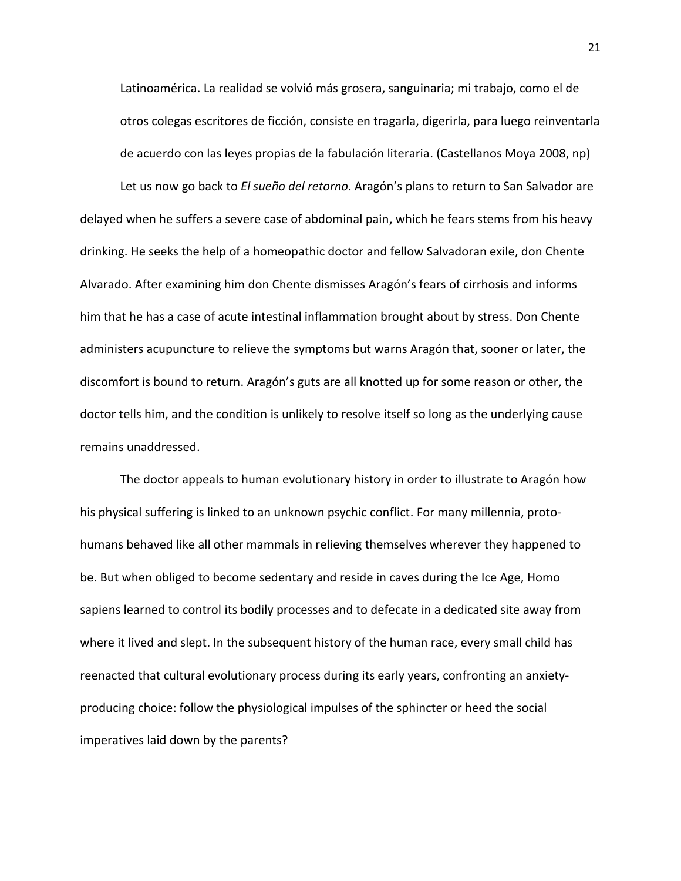Latinoamérica. La realidad se volvió más grosera, sanguinaria; mi trabajo, como el de otros colegas escritores de ficción, consiste en tragarla, digerirla, para luego reinventarla de acuerdo con las leyes propias de la fabulación literaria. (Castellanos Moya 2008, np)

Let us now go back to *El sueño del retorno*. Aragón's plans to return to San Salvador are delayed when he suffers a severe case of abdominal pain, which he fears stems from his heavy drinking. He seeks the help of a homeopathic doctor and fellow Salvadoran exile, don Chente Alvarado. After examining him don Chente dismisses Aragón's fears of cirrhosis and informs him that he has a case of acute intestinal inflammation brought about by stress. Don Chente administers acupuncture to relieve the symptoms but warns Aragón that, sooner or later, the discomfort is bound to return. Aragón's guts are all knotted up for some reason or other, the doctor tells him, and the condition is unlikely to resolve itself so long as the underlying cause remains unaddressed.

The doctor appeals to human evolutionary history in order to illustrate to Aragón how his physical suffering is linked to an unknown psychic conflict. For many millennia, protohumans behaved like all other mammals in relieving themselves wherever they happened to be. But when obliged to become sedentary and reside in caves during the Ice Age, Homo sapiens learned to control its bodily processes and to defecate in a dedicated site away from where it lived and slept. In the subsequent history of the human race, every small child has reenacted that cultural evolutionary process during its early years, confronting an anxietyproducing choice: follow the physiological impulses of the sphincter or heed the social imperatives laid down by the parents?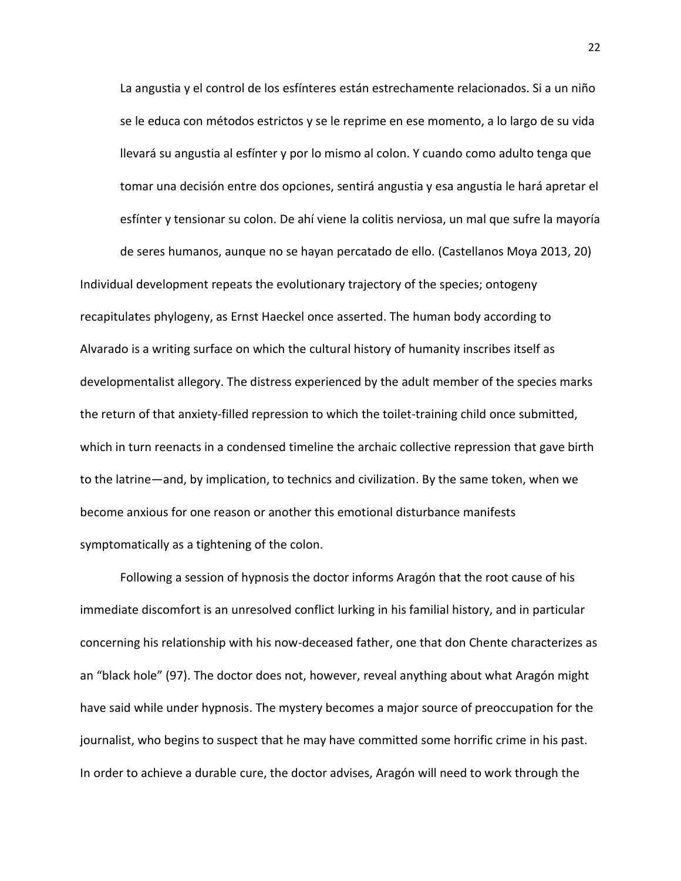La angustia y el control de los esfínteres están estrechamente relacionados. Si a un niño se le educa con métodos estrictos y se le reprime en ese momento, a lo largo de su vida llevará su angustia al esfínter y por lo mismo al colon. Y cuando como adulto tenga que tomar una decisión entre dos opciones, sentirá angustia y esa angustia le hará apretar el esfínter y tensionar su colon. De ahí viene la colitis nerviosa, un mal que sufre la mayoría

de seres humanos, aunque no se hayan percatado de ello. (Castellanos Moya 2013, 20) Individual development repeats the evolutionary trajectory of the species; ontogeny recapitulates phylogeny, as Ernst Haeckel once asserted. The human body according to Alvarado is a writing surface on which the cultural history of humanity inscribes itself as developmentalist allegory. The distress experienced by the adult member of the species marks the return of that anxiety-filled repression to which the toilet-training child once submitted, which in turn reenacts in a condensed timeline the archaic collective repression that gave birth to the latrine—and, by implication, to technics and civilization. By the same token, when we become anxious for one reason or another this emotional disturbance manifests symptomatically as a tightening of the colon.

Following a session of hypnosis the doctor informs Aragón that the root cause of his immediate discomfort is an unresolved conflict lurking in his familial history, and in particular concerning his relationship with his now-deceased father, one that don Chente characterizes as an "black hole" (97). The doctor does not, however, reveal anything about what Aragón might have said while under hypnosis. The mystery becomes a major source of preoccupation for the journalist, who begins to suspect that he may have committed some horrific crime in his past. In order to achieve a durable cure, the doctor advises, Aragón will need to work through the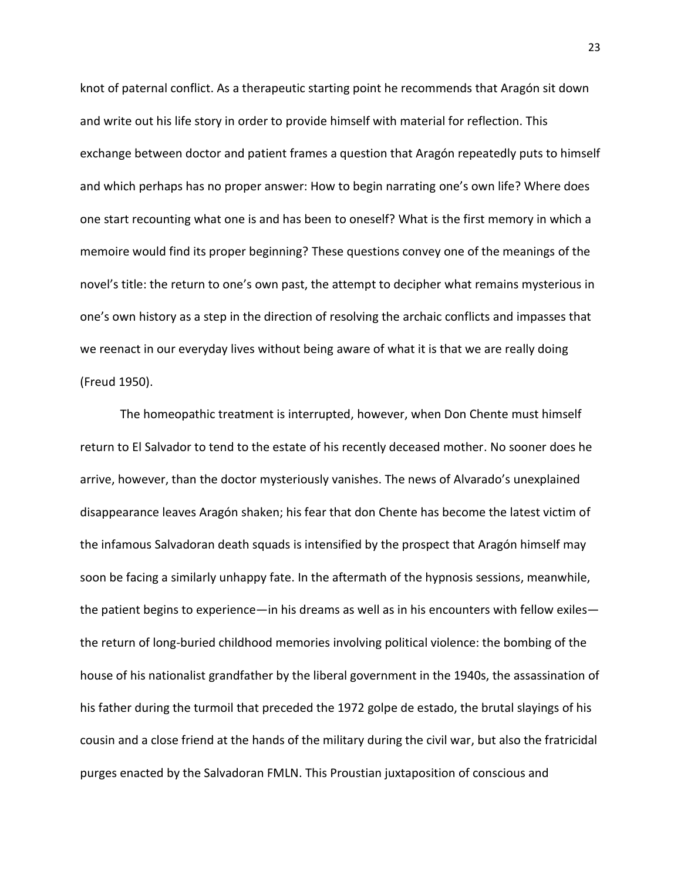knot of paternal conflict. As a therapeutic starting point he recommends that Aragón sit down and write out his life story in order to provide himself with material for reflection. This exchange between doctor and patient frames a question that Aragón repeatedly puts to himself and which perhaps has no proper answer: How to begin narrating one's own life? Where does one start recounting what one is and has been to oneself? What is the first memory in which a memoire would find its proper beginning? These questions convey one of the meanings of the novel's title: the return to one's own past, the attempt to decipher what remains mysterious in one's own history as a step in the direction of resolving the archaic conflicts and impasses that we reenact in our everyday lives without being aware of what it is that we are really doing (Freud 1950).

The homeopathic treatment is interrupted, however, when Don Chente must himself return to El Salvador to tend to the estate of his recently deceased mother. No sooner does he arrive, however, than the doctor mysteriously vanishes. The news of Alvarado's unexplained disappearance leaves Aragón shaken; his fear that don Chente has become the latest victim of the infamous Salvadoran death squads is intensified by the prospect that Aragón himself may soon be facing a similarly unhappy fate. In the aftermath of the hypnosis sessions, meanwhile, the patient begins to experience—in his dreams as well as in his encounters with fellow exiles the return of long-buried childhood memories involving political violence: the bombing of the house of his nationalist grandfather by the liberal government in the 1940s, the assassination of his father during the turmoil that preceded the 1972 golpe de estado, the brutal slayings of his cousin and a close friend at the hands of the military during the civil war, but also the fratricidal purges enacted by the Salvadoran FMLN. This Proustian juxtaposition of conscious and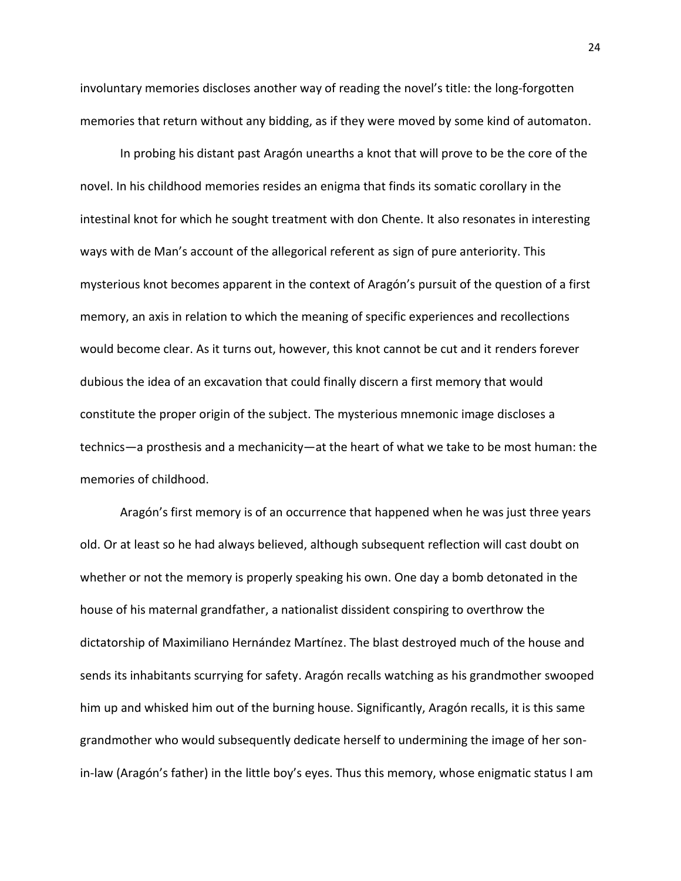involuntary memories discloses another way of reading the novel's title: the long-forgotten memories that return without any bidding, as if they were moved by some kind of automaton.

In probing his distant past Aragón unearths a knot that will prove to be the core of the novel. In his childhood memories resides an enigma that finds its somatic corollary in the intestinal knot for which he sought treatment with don Chente. It also resonates in interesting ways with de Man's account of the allegorical referent as sign of pure anteriority. This mysterious knot becomes apparent in the context of Aragón's pursuit of the question of a first memory, an axis in relation to which the meaning of specific experiences and recollections would become clear. As it turns out, however, this knot cannot be cut and it renders forever dubious the idea of an excavation that could finally discern a first memory that would constitute the proper origin of the subject. The mysterious mnemonic image discloses a technics—a prosthesis and a mechanicity—at the heart of what we take to be most human: the memories of childhood.

Aragón's first memory is of an occurrence that happened when he was just three years old. Or at least so he had always believed, although subsequent reflection will cast doubt on whether or not the memory is properly speaking his own. One day a bomb detonated in the house of his maternal grandfather, a nationalist dissident conspiring to overthrow the dictatorship of Maximiliano Hernández Martínez. The blast destroyed much of the house and sends its inhabitants scurrying for safety. Aragón recalls watching as his grandmother swooped him up and whisked him out of the burning house. Significantly, Aragón recalls, it is this same grandmother who would subsequently dedicate herself to undermining the image of her sonin-law (Aragón's father) in the little boy's eyes. Thus this memory, whose enigmatic status I am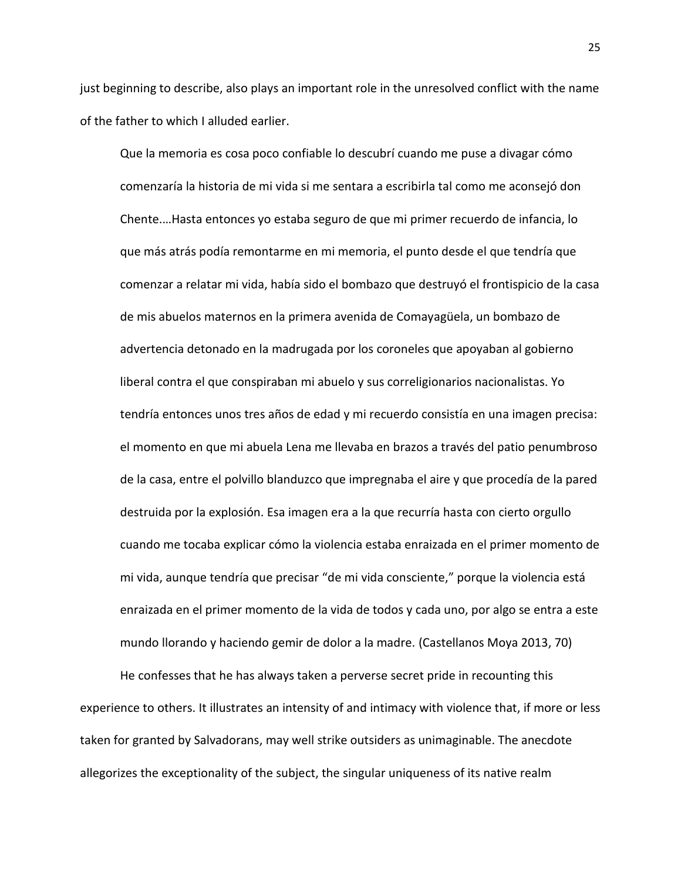just beginning to describe, also plays an important role in the unresolved conflict with the name of the father to which I alluded earlier.

Que la memoria es cosa poco confiable lo descubrí cuando me puse a divagar cómo comenzaría la historia de mi vida si me sentara a escribirla tal como me aconsejó don Chente.…Hasta entonces yo estaba seguro de que mi primer recuerdo de infancia, lo que más atrás podía remontarme en mi memoria, el punto desde el que tendría que comenzar a relatar mi vida, había sido el bombazo que destruyó el frontispicio de la casa de mis abuelos maternos en la primera avenida de Comayagüela, un bombazo de advertencia detonado en la madrugada por los coroneles que apoyaban al gobierno liberal contra el que conspiraban mi abuelo y sus correligionarios nacionalistas. Yo tendría entonces unos tres años de edad y mi recuerdo consistía en una imagen precisa: el momento en que mi abuela Lena me llevaba en brazos a través del patio penumbroso de la casa, entre el polvillo blanduzco que impregnaba el aire y que procedía de la pared destruida por la explosión. Esa imagen era a la que recurría hasta con cierto orgullo cuando me tocaba explicar cómo la violencia estaba enraizada en el primer momento de mi vida, aunque tendría que precisar "de mi vida consciente," porque la violencia está enraizada en el primer momento de la vida de todos y cada uno, por algo se entra a este mundo llorando y haciendo gemir de dolor a la madre. (Castellanos Moya 2013, 70)

He confesses that he has always taken a perverse secret pride in recounting this experience to others. It illustrates an intensity of and intimacy with violence that, if more or less taken for granted by Salvadorans, may well strike outsiders as unimaginable. The anecdote allegorizes the exceptionality of the subject, the singular uniqueness of its native realm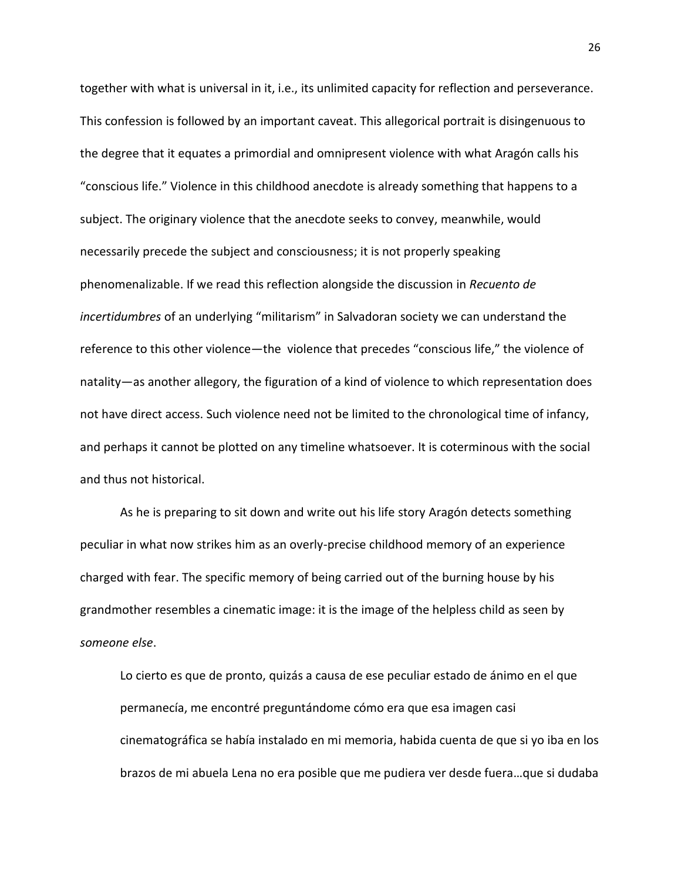together with what is universal in it, i.e., its unlimited capacity for reflection and perseverance. This confession is followed by an important caveat. This allegorical portrait is disingenuous to the degree that it equates a primordial and omnipresent violence with what Aragón calls his "conscious life." Violence in this childhood anecdote is already something that happens to a subject. The originary violence that the anecdote seeks to convey, meanwhile, would necessarily precede the subject and consciousness; it is not properly speaking phenomenalizable. If we read this reflection alongside the discussion in *Recuento de incertidumbres* of an underlying "militarism" in Salvadoran society we can understand the reference to this other violence—the violence that precedes "conscious life," the violence of natality—as another allegory, the figuration of a kind of violence to which representation does not have direct access. Such violence need not be limited to the chronological time of infancy, and perhaps it cannot be plotted on any timeline whatsoever. It is coterminous with the social and thus not historical.

As he is preparing to sit down and write out his life story Aragón detects something peculiar in what now strikes him as an overly-precise childhood memory of an experience charged with fear. The specific memory of being carried out of the burning house by his grandmother resembles a cinematic image: it is the image of the helpless child as seen by *someone else*.

Lo cierto es que de pronto, quizás a causa de ese peculiar estado de ánimo en el que permanecía, me encontré preguntándome cómo era que esa imagen casi cinematográfica se había instalado en mi memoria, habida cuenta de que si yo iba en los brazos de mi abuela Lena no era posible que me pudiera ver desde fuera…que si dudaba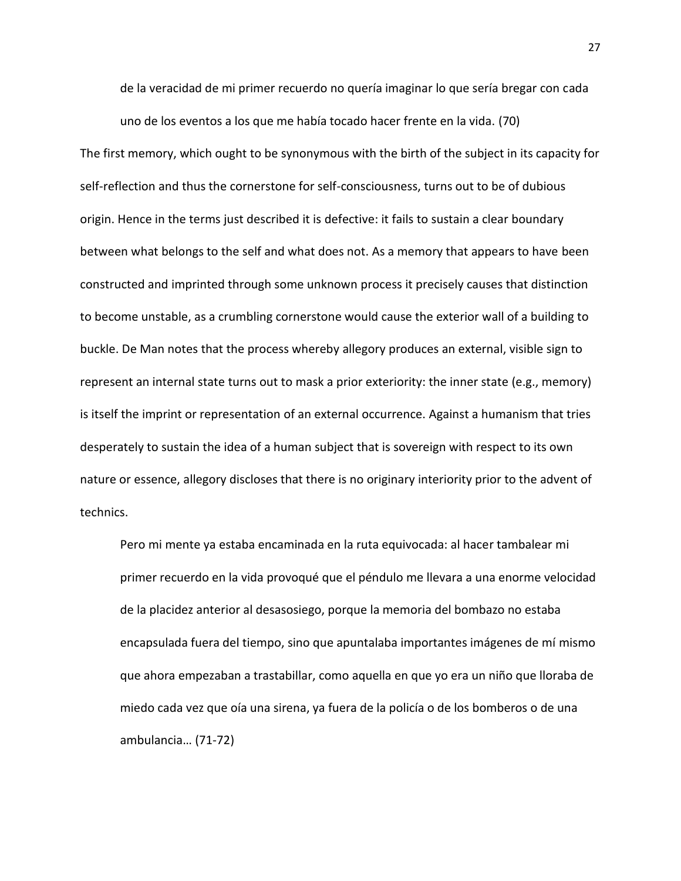de la veracidad de mi primer recuerdo no quería imaginar lo que sería bregar con cada uno de los eventos a los que me había tocado hacer frente en la vida. (70)

The first memory, which ought to be synonymous with the birth of the subject in its capacity for self-reflection and thus the cornerstone for self-consciousness, turns out to be of dubious origin. Hence in the terms just described it is defective: it fails to sustain a clear boundary between what belongs to the self and what does not. As a memory that appears to have been constructed and imprinted through some unknown process it precisely causes that distinction to become unstable, as a crumbling cornerstone would cause the exterior wall of a building to buckle. De Man notes that the process whereby allegory produces an external, visible sign to represent an internal state turns out to mask a prior exteriority: the inner state (e.g., memory) is itself the imprint or representation of an external occurrence. Against a humanism that tries desperately to sustain the idea of a human subject that is sovereign with respect to its own nature or essence, allegory discloses that there is no originary interiority prior to the advent of technics.

Pero mi mente ya estaba encaminada en la ruta equivocada: al hacer tambalear mi primer recuerdo en la vida provoqué que el péndulo me llevara a una enorme velocidad de la placidez anterior al desasosiego, porque la memoria del bombazo no estaba encapsulada fuera del tiempo, sino que apuntalaba importantes imágenes de mí mismo que ahora empezaban a trastabillar, como aquella en que yo era un niño que lloraba de miedo cada vez que oía una sirena, ya fuera de la policía o de los bomberos o de una ambulancia… (71-72)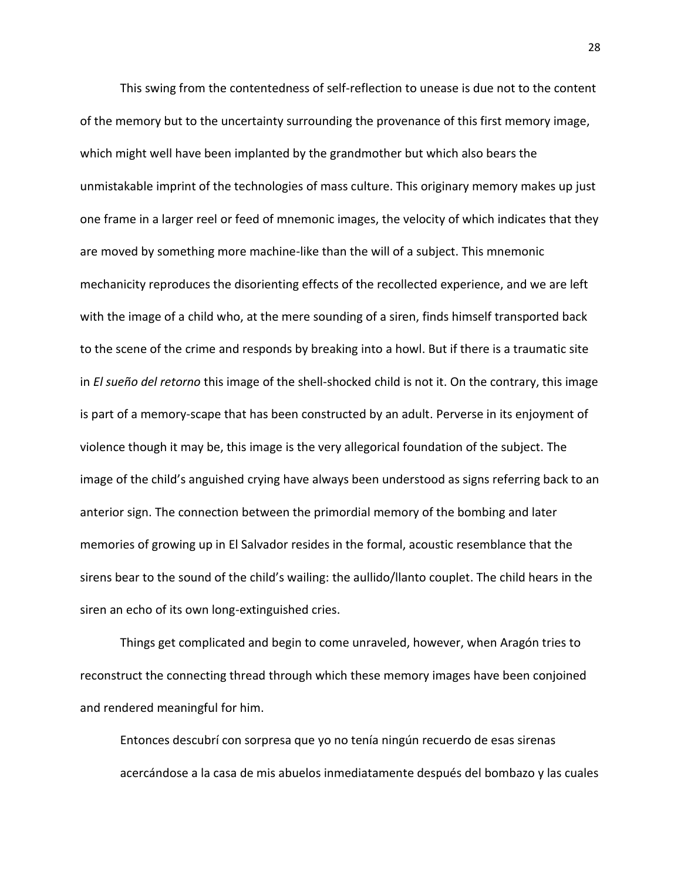This swing from the contentedness of self-reflection to unease is due not to the content of the memory but to the uncertainty surrounding the provenance of this first memory image, which might well have been implanted by the grandmother but which also bears the unmistakable imprint of the technologies of mass culture. This originary memory makes up just one frame in a larger reel or feed of mnemonic images, the velocity of which indicates that they are moved by something more machine-like than the will of a subject. This mnemonic mechanicity reproduces the disorienting effects of the recollected experience, and we are left with the image of a child who, at the mere sounding of a siren, finds himself transported back to the scene of the crime and responds by breaking into a howl. But if there is a traumatic site in *El sueño del retorno* this image of the shell-shocked child is not it. On the contrary, this image is part of a memory-scape that has been constructed by an adult. Perverse in its enjoyment of violence though it may be, this image is the very allegorical foundation of the subject. The image of the child's anguished crying have always been understood as signs referring back to an anterior sign. The connection between the primordial memory of the bombing and later memories of growing up in El Salvador resides in the formal, acoustic resemblance that the sirens bear to the sound of the child's wailing: the aullido/llanto couplet. The child hears in the siren an echo of its own long-extinguished cries.

Things get complicated and begin to come unraveled, however, when Aragón tries to reconstruct the connecting thread through which these memory images have been conjoined and rendered meaningful for him.

Entonces descubrí con sorpresa que yo no tenía ningún recuerdo de esas sirenas acercándose a la casa de mis abuelos inmediatamente después del bombazo y las cuales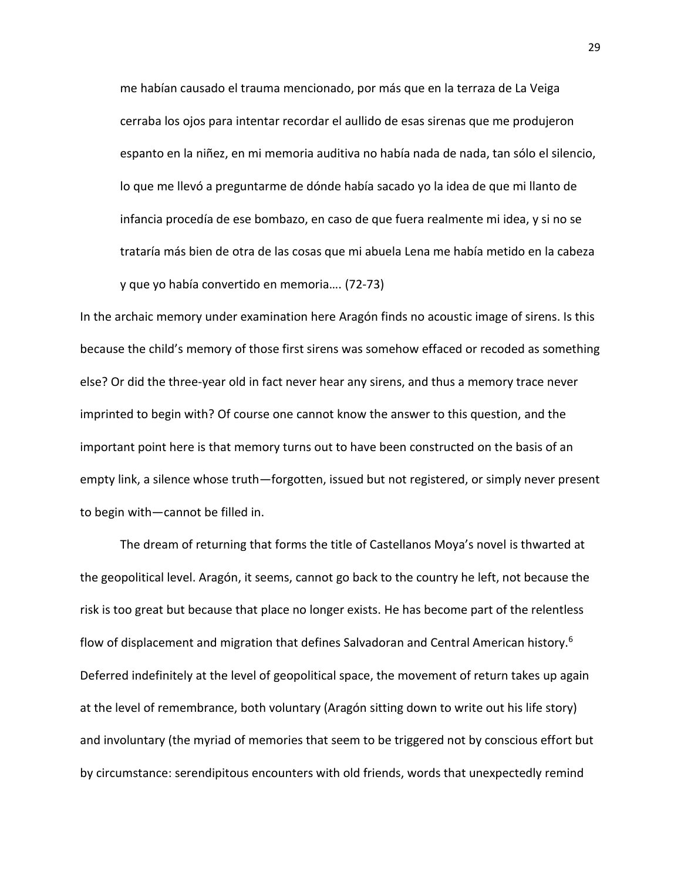me habían causado el trauma mencionado, por más que en la terraza de La Veiga cerraba los ojos para intentar recordar el aullido de esas sirenas que me produjeron espanto en la niñez, en mi memoria auditiva no había nada de nada, tan sólo el silencio, lo que me llevó a preguntarme de dónde había sacado yo la idea de que mi llanto de infancia procedía de ese bombazo, en caso de que fuera realmente mi idea, y si no se trataría más bien de otra de las cosas que mi abuela Lena me había metido en la cabeza y que yo había convertido en memoria…. (72-73)

In the archaic memory under examination here Aragón finds no acoustic image of sirens. Is this because the child's memory of those first sirens was somehow effaced or recoded as something else? Or did the three-year old in fact never hear any sirens, and thus a memory trace never imprinted to begin with? Of course one cannot know the answer to this question, and the important point here is that memory turns out to have been constructed on the basis of an empty link, a silence whose truth—forgotten, issued but not registered, or simply never present to begin with—cannot be filled in.

The dream of returning that forms the title of Castellanos Moya's novel is thwarted at the geopolitical level. Aragón, it seems, cannot go back to the country he left, not because the risk is too great but because that place no longer exists. He has become part of the relentless flow of displacement and migration that defines Salvadoran and Central American history.<sup>6</sup> Deferred indefinitely at the level of geopolitical space, the movement of return takes up again at the level of remembrance, both voluntary (Aragón sitting down to write out his life story) and involuntary (the myriad of memories that seem to be triggered not by conscious effort but by circumstance: serendipitous encounters with old friends, words that unexpectedly remind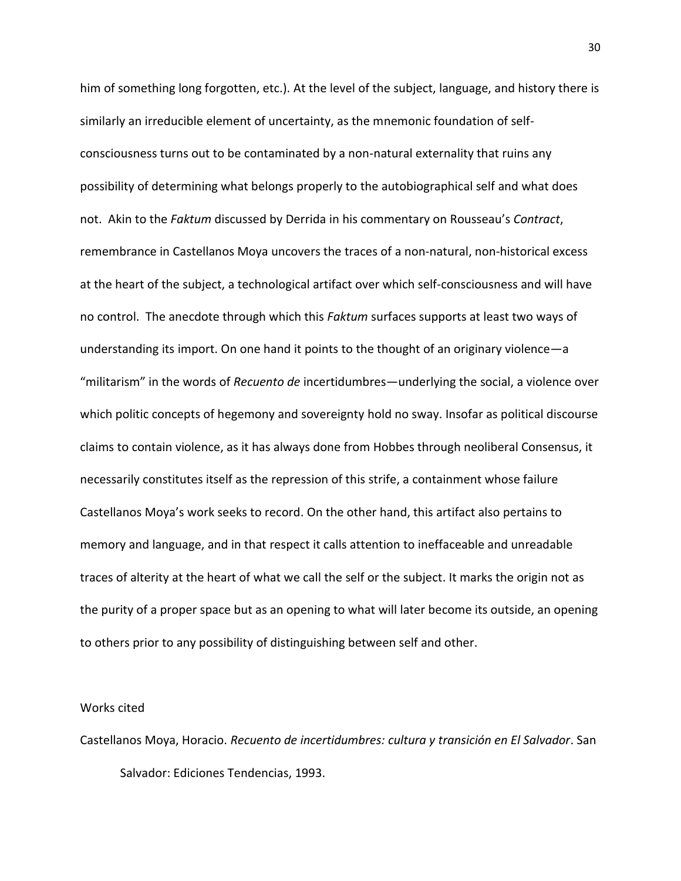him of something long forgotten, etc.). At the level of the subject, language, and history there is similarly an irreducible element of uncertainty, as the mnemonic foundation of selfconsciousness turns out to be contaminated by a non-natural externality that ruins any possibility of determining what belongs properly to the autobiographical self and what does not. Akin to the *Faktum* discussed by Derrida in his commentary on Rousseau's *Contract*, remembrance in Castellanos Moya uncovers the traces of a non-natural, non-historical excess at the heart of the subject, a technological artifact over which self-consciousness and will have no control. The anecdote through which this *Faktum* surfaces supports at least two ways of understanding its import. On one hand it points to the thought of an originary violence—a "militarism" in the words of *Recuento de* incertidumbres—underlying the social, a violence over which politic concepts of hegemony and sovereignty hold no sway. Insofar as political discourse claims to contain violence, as it has always done from Hobbes through neoliberal Consensus, it necessarily constitutes itself as the repression of this strife, a containment whose failure Castellanos Moya's work seeks to record. On the other hand, this artifact also pertains to memory and language, and in that respect it calls attention to ineffaceable and unreadable traces of alterity at the heart of what we call the self or the subject. It marks the origin not as the purity of a proper space but as an opening to what will later become its outside, an opening to others prior to any possibility of distinguishing between self and other.

## Works cited

Castellanos Moya, Horacio. *Recuento de incertidumbres: cultura y transición en El Salvador*. San Salvador: Ediciones Tendencias, 1993.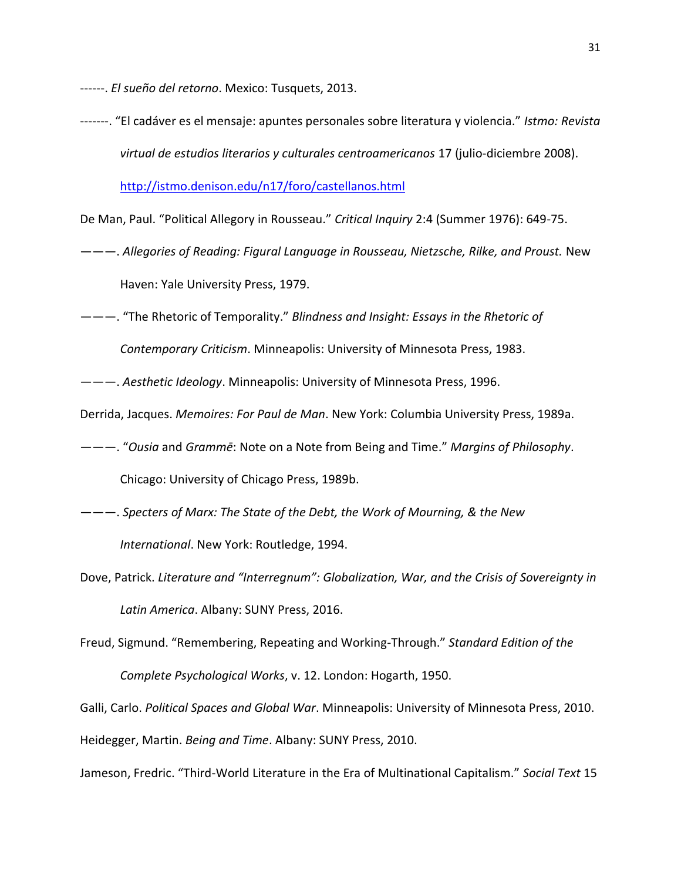------. *El sueño del retorno*. Mexico: Tusquets, 2013.

-------. "El cadáver es el mensaje: apuntes personales sobre literatura y violencia." *Istmo: Revista virtual de estudios literarios y culturales centroamericanos* 17 (julio-diciembre 2008). <http://istmo.denison.edu/n17/foro/castellanos.html>

De Man, Paul. "Political Allegory in Rousseau." *Critical Inquiry* 2:4 (Summer 1976): 649-75.

- ———. *Allegories of Reading: Figural Language in Rousseau, Nietzsche, Rilke, and Proust.* New Haven: Yale University Press, 1979.
- ———. "The Rhetoric of Temporality." *Blindness and Insight: Essays in the Rhetoric of*

*Contemporary Criticism*. Minneapolis: University of Minnesota Press, 1983.

———. *Aesthetic Ideology*. Minneapolis: University of Minnesota Press, 1996.

- Derrida, Jacques. *Memoires: For Paul de Man*. New York: Columbia University Press, 1989a.
- ———. "*Ousia* and *Grammē*: Note on a Note from Being and Time." *Margins of Philosophy*. Chicago: University of Chicago Press, 1989b.
- ———. *Specters of Marx: The State of the Debt, the Work of Mourning, & the New International*. New York: Routledge, 1994.
- Dove, Patrick. *Literature and "Interregnum": Globalization, War, and the Crisis of Sovereignty in Latin America*. Albany: SUNY Press, 2016.

Freud, Sigmund. "Remembering, Repeating and Working-Through." *Standard Edition of the Complete Psychological Works*, v. 12. London: Hogarth, 1950.

Galli, Carlo. *Political Spaces and Global War*. Minneapolis: University of Minnesota Press, 2010. Heidegger, Martin. *Being and Time*. Albany: SUNY Press, 2010.

Jameson, Fredric. "Third-World Literature in the Era of Multinational Capitalism." *Social Text* 15